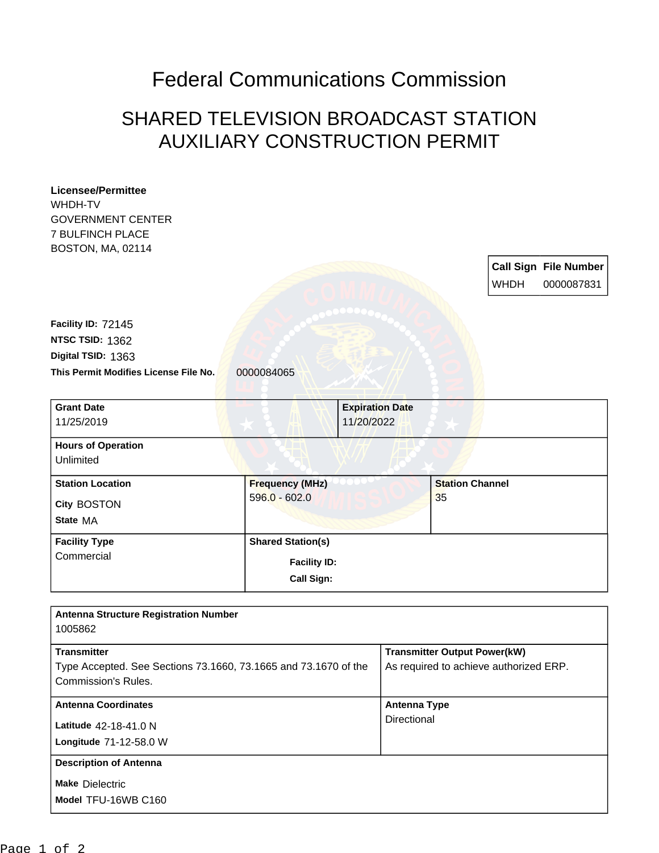## Federal Communications Commission

## SHARED TELEVISION BROADCAST STATION AUXILIARY CONSTRUCTION PERMIT

| <b>Licensee/Permittee</b>                                       |                          |                        |                                        |                        |             |                              |
|-----------------------------------------------------------------|--------------------------|------------------------|----------------------------------------|------------------------|-------------|------------------------------|
| WHDH-TV<br><b>GOVERNMENT CENTER</b>                             |                          |                        |                                        |                        |             |                              |
| <b>7 BULFINCH PLACE</b>                                         |                          |                        |                                        |                        |             |                              |
| BOSTON, MA, 02114                                               |                          |                        |                                        |                        |             |                              |
|                                                                 |                          |                        |                                        |                        |             | <b>Call Sign File Number</b> |
|                                                                 |                          |                        |                                        |                        | <b>WHDH</b> | 0000087831                   |
|                                                                 |                          |                        |                                        |                        |             |                              |
|                                                                 |                          |                        |                                        |                        |             |                              |
| Facility ID: 72145                                              |                          |                        |                                        |                        |             |                              |
| NTSC TSID: 1362                                                 |                          |                        |                                        |                        |             |                              |
| Digital TSID: 1363                                              |                          |                        |                                        |                        |             |                              |
| This Permit Modifies License File No.                           | 0000084065               |                        |                                        |                        |             |                              |
|                                                                 |                          |                        |                                        |                        |             |                              |
| <b>Grant Date</b>                                               |                          | <b>Expiration Date</b> |                                        |                        |             |                              |
| 11/25/2019                                                      |                          | 11/20/2022             |                                        |                        |             |                              |
| <b>Hours of Operation</b>                                       |                          |                        |                                        |                        |             |                              |
| Unlimited                                                       |                          |                        |                                        |                        |             |                              |
| <b>Station Location</b>                                         | <b>Frequency (MHz)</b>   |                        |                                        | <b>Station Channel</b> |             |                              |
|                                                                 | $596.0 - 602.0$          |                        |                                        | 35                     |             |                              |
| City BOSTON                                                     |                          |                        |                                        |                        |             |                              |
| State MA                                                        |                          |                        |                                        |                        |             |                              |
| <b>Facility Type</b>                                            | <b>Shared Station(s)</b> |                        |                                        |                        |             |                              |
| Commercial                                                      | <b>Facility ID:</b>      |                        |                                        |                        |             |                              |
|                                                                 | Call Sign:               |                        |                                        |                        |             |                              |
|                                                                 |                          |                        |                                        |                        |             |                              |
|                                                                 |                          |                        |                                        |                        |             |                              |
| <b>Antenna Structure Registration Number</b><br>1005862         |                          |                        |                                        |                        |             |                              |
|                                                                 |                          |                        |                                        |                        |             |                              |
| <b>Transmitter</b>                                              |                          |                        | <b>Transmitter Output Power(kW)</b>    |                        |             |                              |
| Type Accepted. See Sections 73.1660, 73.1665 and 73.1670 of the |                          |                        | As required to achieve authorized ERP. |                        |             |                              |
| Commission's Rules.                                             |                          |                        |                                        |                        |             |                              |
| <b>Antenna Coordinates</b>                                      |                          |                        | <b>Antenna Type</b>                    |                        |             |                              |
| Latitude 42-18-41.0 N                                           |                          |                        | Directional                            |                        |             |                              |
| Longitude 71-12-58.0 W                                          |                          |                        |                                        |                        |             |                              |
|                                                                 |                          |                        |                                        |                        |             |                              |
| <b>Description of Antenna</b>                                   |                          |                        |                                        |                        |             |                              |
| <b>Make Dielectric</b>                                          |                          |                        |                                        |                        |             |                              |
| Model TFU-16WB C160                                             |                          |                        |                                        |                        |             |                              |
|                                                                 |                          |                        |                                        |                        |             |                              |